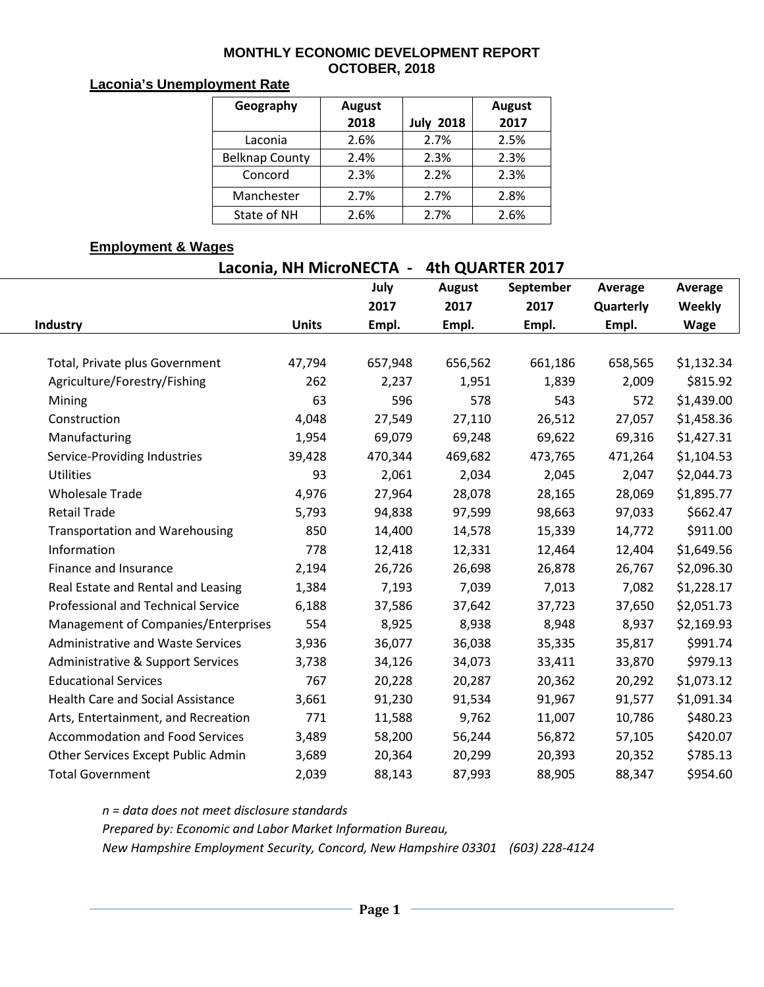#### **MONTHLY ECONOMIC DEVELOPMENT REPORT OCTOBER, 2018**

#### **Laconia's Unemployment Rate**

| Geography             | <b>August</b><br>2018 | <b>July 2018</b> | <b>August</b><br>2017 |
|-----------------------|-----------------------|------------------|-----------------------|
| Laconia               | 2.6%                  | 2.7%             | 2.5%                  |
| <b>Belknap County</b> | 2.4%                  | 2.3%             | 2.3%                  |
| Concord               | 2.3%                  | 2.2%             | 2.3%                  |
| Manchester            | 2.7%                  | 2.7%             | 2.8%                  |
| State of NH           | 2.6%                  | 2.7%             | 2.6%                  |

## **Employment & Wages**

|                                | Laconia, NH MicroNECTA - |              | 4th QUARTER 2017 |                   |                      |                                  |  |
|--------------------------------|--------------------------|--------------|------------------|-------------------|----------------------|----------------------------------|--|
|                                |                          | July<br>2017 | August<br>2017   | September<br>2017 | Average<br>Quarterly | Average<br>Weekly<br><b>Wage</b> |  |
| Industry                       | <b>Units</b>             | Empl.        | Empl.            | Empl.             | Empl.                |                                  |  |
| Total, Private plus Government | 47.794                   | 657.948      | 656.562          | 661,186           | 658.565              | \$1,132.3                        |  |
| Agriculture/Forestry/Fishing   | 262                      | 2.237        | 1.951            | 1.839             | 2.009                | \$815.9                          |  |

| Total, Private plus Government           | 47,794 | 657,948 | 656,562 | 661,186 | 658,565 | \$1,132.34 |
|------------------------------------------|--------|---------|---------|---------|---------|------------|
| Agriculture/Forestry/Fishing             | 262    | 2,237   | 1,951   | 1,839   | 2,009   | \$815.92   |
| Mining                                   | 63     | 596     | 578     | 543     | 572     | \$1,439.00 |
| Construction                             | 4,048  | 27,549  | 27,110  | 26,512  | 27,057  | \$1,458.36 |
| Manufacturing                            | 1,954  | 69,079  | 69,248  | 69,622  | 69,316  | \$1,427.31 |
| Service-Providing Industries             | 39,428 | 470,344 | 469,682 | 473,765 | 471,264 | \$1,104.53 |
| <b>Utilities</b>                         | 93     | 2,061   | 2,034   | 2,045   | 2,047   | \$2,044.73 |
| <b>Wholesale Trade</b>                   | 4,976  | 27,964  | 28,078  | 28,165  | 28,069  | \$1,895.77 |
| <b>Retail Trade</b>                      | 5,793  | 94,838  | 97,599  | 98,663  | 97,033  | \$662.47   |
| <b>Transportation and Warehousing</b>    | 850    | 14,400  | 14,578  | 15,339  | 14,772  | \$911.00   |
| Information                              | 778    | 12,418  | 12,331  | 12,464  | 12,404  | \$1,649.56 |
| Finance and Insurance                    | 2,194  | 26,726  | 26,698  | 26,878  | 26,767  | \$2,096.30 |
| Real Estate and Rental and Leasing       | 1,384  | 7,193   | 7,039   | 7,013   | 7,082   | \$1,228.17 |
| Professional and Technical Service       | 6,188  | 37,586  | 37,642  | 37,723  | 37,650  | \$2,051.73 |
| Management of Companies/Enterprises      | 554    | 8,925   | 8,938   | 8,948   | 8,937   | \$2,169.93 |
| Administrative and Waste Services        | 3,936  | 36,077  | 36,038  | 35,335  | 35,817  | \$991.74   |
| Administrative & Support Services        | 3,738  | 34,126  | 34,073  | 33,411  | 33,870  | \$979.13   |
| <b>Educational Services</b>              | 767    | 20,228  | 20,287  | 20,362  | 20,292  | \$1,073.12 |
| <b>Health Care and Social Assistance</b> | 3,661  | 91,230  | 91,534  | 91,967  | 91,577  | \$1,091.34 |
| Arts, Entertainment, and Recreation      | 771    | 11,588  | 9,762   | 11,007  | 10,786  | \$480.23   |
| <b>Accommodation and Food Services</b>   | 3,489  | 58,200  | 56,244  | 56,872  | 57,105  | \$420.07   |
| Other Services Except Public Admin       | 3,689  | 20,364  | 20,299  | 20,393  | 20,352  | \$785.13   |
| <b>Total Government</b>                  | 2,039  | 88,143  | 87,993  | 88,905  | 88,347  | \$954.60   |

*n = data does not meet disclosure standards*

*Prepared by: Economic and Labor Market Information Bureau,* 

*New Hampshire Employment Security, Concord, New Hampshire 03301 (603) 228-4124*